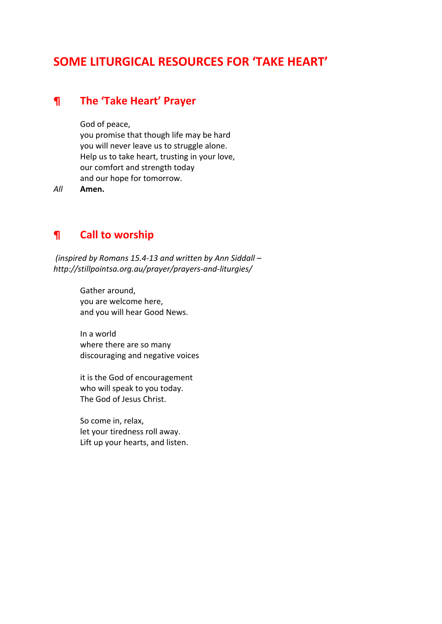# **SOME LITURGICAL RESOURCES FOR 'TAKE HEART'**

## **¶ The 'Take Heart' Prayer**

God of peace,

you promise that though life may be hard you will never leave us to struggle alone. Help us to take heart, trusting in your love, our comfort and strength today and our hope for tomorrow.

*All* **Amen.**

## **¶ Call to worship**

*(inspired by Romans 15.4-13 and written by Ann Siddall – http://stillpointsa.org.au/prayer/prayers-and-liturgies/*

> Gather around, you are welcome here, and you will hear Good News.

In a world where there are so many discouraging and negative voices

it is the God of encouragement who will speak to you today. The God of Jesus Christ.

So come in, relax, let your tiredness roll away. Lift up your hearts, and listen.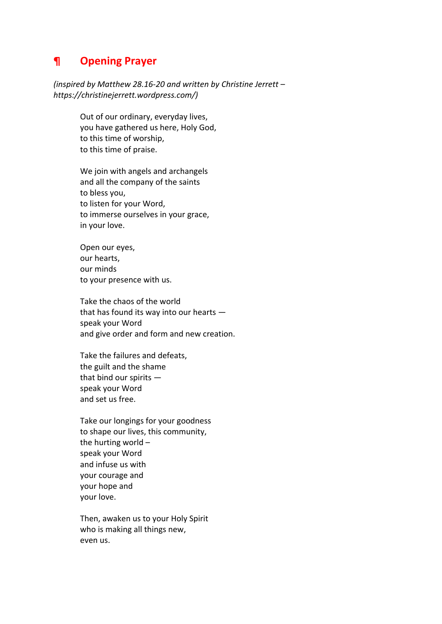## **¶ Opening Prayer**

*(inspired by Matthew 28.16-20 and written by Christine Jerrett – https://christinejerrett.wordpress.com/)*

> Out of our ordinary, everyday lives, you have gathered us here, Holy God, to this time of worship, to this time of praise.

We join with angels and archangels and all the company of the saints to bless you, to listen for your Word, to immerse ourselves in your grace, in your love.

Open our eyes, our hearts, our minds to your presence with us.

Take the chaos of the world that has found its way into our hearts speak your Word and give order and form and new creation.

Take the failures and defeats, the guilt and the shame that bind our spirits speak your Word and set us free.

Take our longings for your goodness to shape our lives, this community, the hurting world – speak your Word and infuse us with your courage and your hope and your love.

Then, awaken us to your Holy Spirit who is making all things new, even us.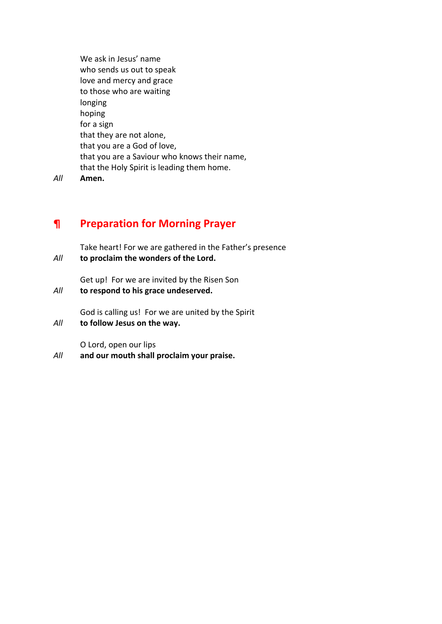We ask in Jesus' name who sends us out to speak love and mercy and grace to those who are waiting longing hoping for a sign that they are not alone, that you are a God of love, that you are a Saviour who knows their name, that the Holy Spirit is leading them home.

*All* **Amen.** 

## **¶ Preparation for Morning Prayer**

Take heart! For we are gathered in the Father's presence *All* **to proclaim the wonders of the Lord.**

Get up! For we are invited by the Risen Son *All* **to respond to his grace undeserved.**

God is calling us! For we are united by the Spirit

*All* **to follow Jesus on the way.**

O Lord, open our lips

*All* **and our mouth shall proclaim your praise.**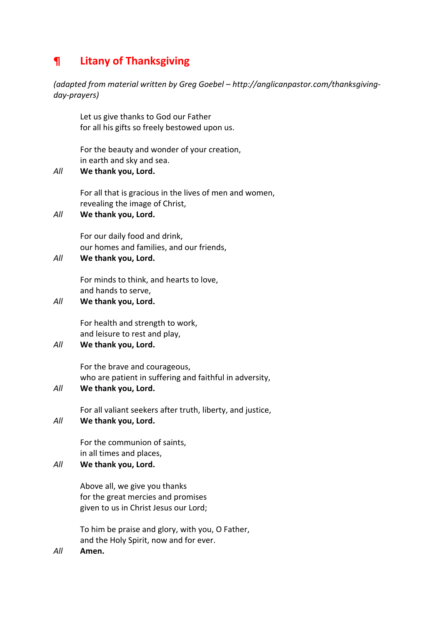# **¶ Litany of Thanksgiving**

*(adapted from material written by Greg Goebel – http://anglicanpastor.com/thanksgivingday-prayers)*

Let us give thanks to God our Father for all his gifts so freely bestowed upon us.

For the beauty and wonder of your creation, in earth and sky and sea.

#### *All* **We thank you, Lord.**

For all that is gracious in the lives of men and women, revealing the image of Christ,

#### *All* **We thank you, Lord.**

For our daily food and drink, our homes and families, and our friends,

## *All* **We thank you, Lord.**

For minds to think, and hearts to love, and hands to serve,

#### *All* **We thank you, Lord.**

For health and strength to work, and leisure to rest and play,

### *All* **We thank you, Lord.**

For the brave and courageous, who are patient in suffering and faithful in adversity,

### *All* **We thank you, Lord.**

For all valiant seekers after truth, liberty, and justice,

#### *All* **We thank you, Lord.**

For the communion of saints, in all times and places,

#### *All* **We thank you, Lord.**

Above all, we give you thanks for the great mercies and promises given to us in Christ Jesus our Lord;

To him be praise and glory, with you, O Father, and the Holy Spirit, now and for ever.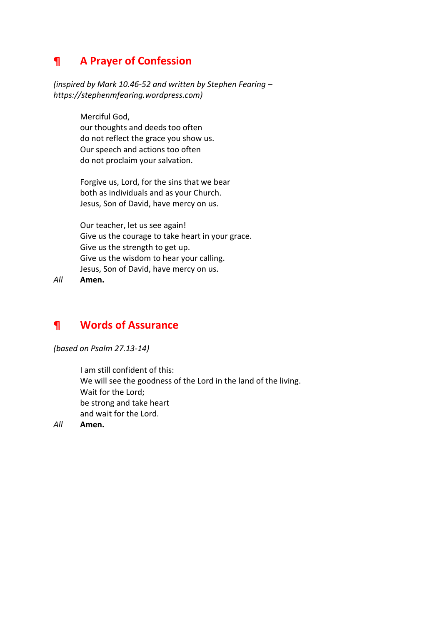# **¶ A Prayer of Confession**

*(inspired by Mark 10.46-52 and written by Stephen Fearing – https://stephenmfearing.wordpress.com)*

> Merciful God, our thoughts and deeds too often do not reflect the grace you show us. Our speech and actions too often do not proclaim your salvation.

Forgive us, Lord, for the sins that we bear both as individuals and as your Church. Jesus, Son of David, have mercy on us.

Our teacher, let us see again! Give us the courage to take heart in your grace. Give us the strength to get up. Give us the wisdom to hear your calling. Jesus, Son of David, have mercy on us.

*All* **Amen.**

## **¶ Words of Assurance**

*(based on Psalm 27.13-14)*

I am still confident of this: We will see the goodness of the Lord in the land of the living. Wait for the Lord; be strong and take heart and wait for the Lord.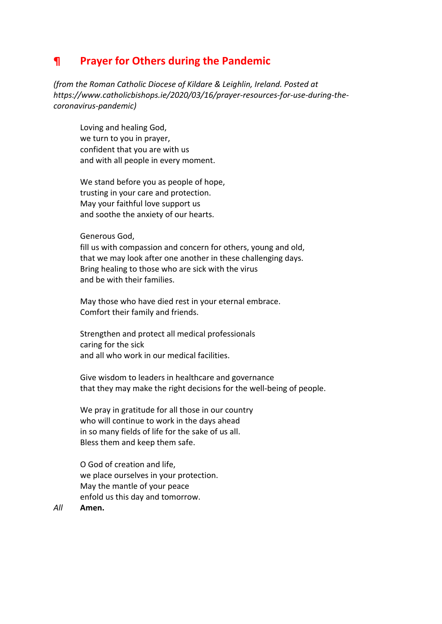## **¶ Prayer for Others during the Pandemic**

*(from the Roman Catholic Diocese of Kildare & Leighlin, Ireland. Posted at https://www.catholicbishops.ie/2020/03/16/prayer-resources-for-use-during-thecoronavirus-pandemic)*

Loving and healing God, we turn to you in prayer, confident that you are with us and with all people in every moment.

We stand before you as people of hope, trusting in your care and protection. May your faithful love support us and soothe the anxiety of our hearts.

#### Generous God,

fill us with compassion and concern for others, young and old, that we may look after one another in these challenging days. Bring healing to those who are sick with the virus and be with their families.

May those who have died rest in your eternal embrace. Comfort their family and friends.

Strengthen and protect all medical professionals caring for the sick and all who work in our medical facilities.

Give wisdom to leaders in healthcare and governance that they may make the right decisions for the well-being of people.

We pray in gratitude for all those in our country who will continue to work in the days ahead in so many fields of life for the sake of us all. Bless them and keep them safe.

O God of creation and life, we place ourselves in your protection. May the mantle of your peace enfold us this day and tomorrow.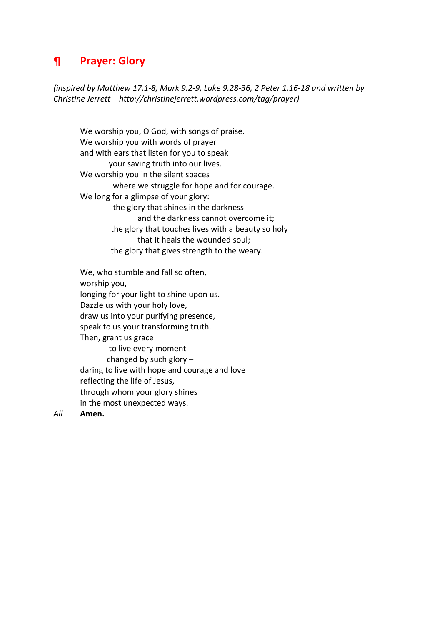## **¶ Prayer: Glory**

*(inspired by Matthew 17.1-8, Mark 9.2-9, Luke 9.28-36, 2 Peter 1.16-18 and written by Christine Jerrett – http://christinejerrett.wordpress.com/tag/prayer)*

We worship you, O God, with songs of praise. We worship you with words of prayer and with ears that listen for you to speak your saving truth into our lives. We worship you in the silent spaces where we struggle for hope and for courage. We long for a glimpse of your glory: the glory that shines in the darkness and the darkness cannot overcome it; the glory that touches lives with a beauty so holy that it heals the wounded soul; the glory that gives strength to the weary.

We, who stumble and fall so often, worship you, longing for your light to shine upon us. Dazzle us with your holy love, draw us into your purifying presence, speak to us your transforming truth. Then, grant us grace to live every moment changed by such glory – daring to live with hope and courage and love reflecting the life of Jesus, through whom your glory shines in the most unexpected ways.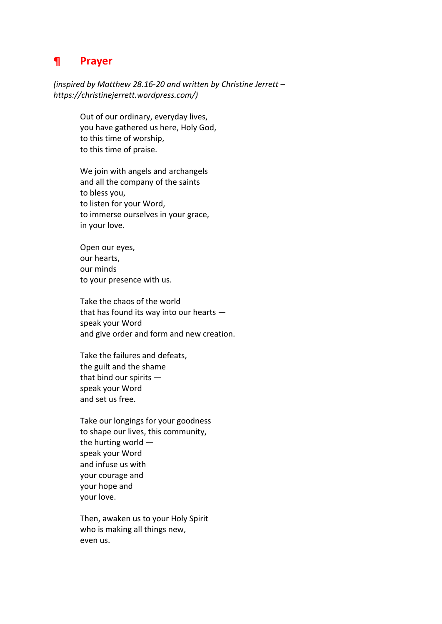## **¶ Prayer**

*(inspired by Matthew 28.16-20 and written by Christine Jerrett – https://christinejerrett.wordpress.com/)*

> Out of our ordinary, everyday lives, you have gathered us here, Holy God, to this time of worship, to this time of praise.

We join with angels and archangels and all the company of the saints to bless you, to listen for your Word, to immerse ourselves in your grace, in your love.

Open our eyes, our hearts, our minds to your presence with us.

Take the chaos of the world that has found its way into our hearts speak your Word and give order and form and new creation.

Take the failures and defeats, the guilt and the shame that bind our spirits speak your Word and set us free.

Take our longings for your goodness to shape our lives, this community, the hurting world speak your Word and infuse us with your courage and your hope and your love.

Then, awaken us to your Holy Spirit who is making all things new, even us.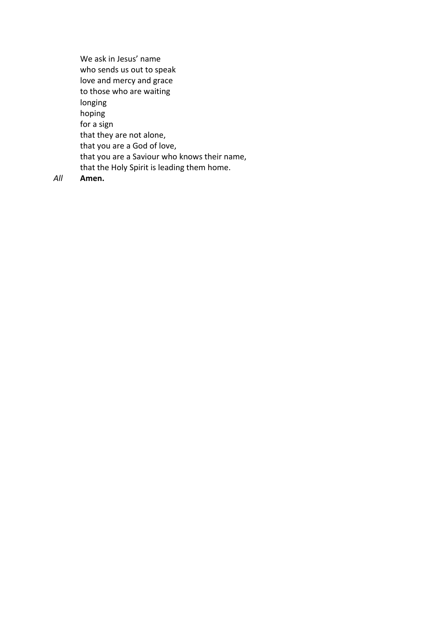We ask in Jesus' name who sends us out to speak love and mercy and grace to those who are waiting longing hoping for a sign that they are not alone, that you are a God of love, that you are a Saviour who knows their name, that the Holy Spirit is leading them home.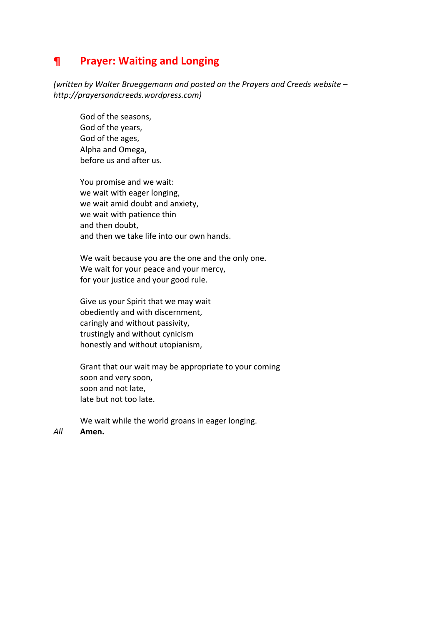## **¶ Prayer: Waiting and Longing**

*(written by Walter Brueggemann and posted on the Prayers and Creeds website – http://prayersandcreeds.wordpress.com)*

God of the seasons, God of the years, God of the ages, Alpha and Omega, before us and after us.

You promise and we wait: we wait with eager longing, we wait amid doubt and anxiety, we wait with patience thin and then doubt, and then we take life into our own hands.

We wait because you are the one and the only one. We wait for your peace and your mercy, for your justice and your good rule.

Give us your Spirit that we may wait obediently and with discernment, caringly and without passivity, trustingly and without cynicism honestly and without utopianism,

Grant that our wait may be appropriate to your coming soon and very soon, soon and not late, late but not too late.

We wait while the world groans in eager longing.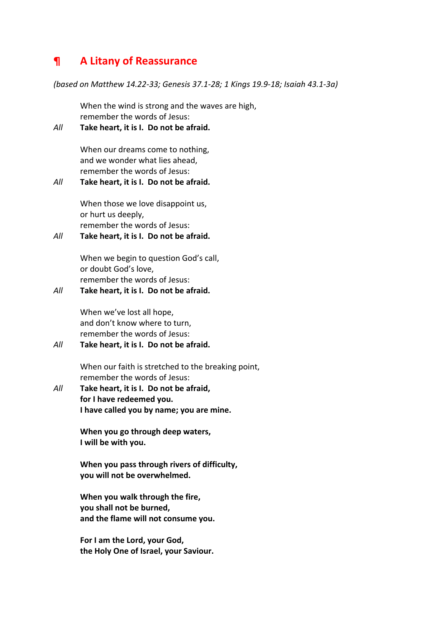## **¶ A Litany of Reassurance**

*(based on Matthew 14.22-33; Genesis 37.1-28; 1 Kings 19.9-18; Isaiah 43.1-3a)*

When the wind is strong and the waves are high, remember the words of Jesus:

### *All* **Take heart, it is I. Do not be afraid.**

When our dreams come to nothing, and we wonder what lies ahead, remember the words of Jesus:

### *All* **Take heart, it is I. Do not be afraid.**

When those we love disappoint us, or hurt us deeply, remember the words of Jesus:

### *All* **Take heart, it is I. Do not be afraid.**

When we begin to question God's call, or doubt God's love, remember the words of Jesus:

### *All* **Take heart, it is I. Do not be afraid.**

When we've lost all hope, and don't know where to turn, remember the words of Jesus:

### *All* **Take heart, it is I. Do not be afraid.**

When our faith is stretched to the breaking point, remember the words of Jesus:

*All* **Take heart, it is I. Do not be afraid, for I have redeemed you. I have called you by name; you are mine.**

> **When you go through deep waters, I will be with you.**

**When you pass through rivers of difficulty, you will not be overwhelmed.**

**When you walk through the fire, you shall not be burned, and the flame will not consume you.**

**For I am the Lord, your God, the Holy One of Israel, your Saviour.**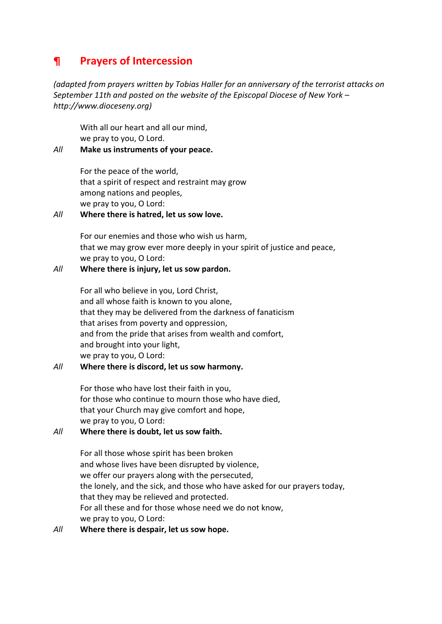## **¶ Prayers of Intercession**

*(adapted from prayers written by Tobias Haller for an anniversary of the terrorist attacks on September 11th and posted on the website of the Episcopal Diocese of New York – http://www.dioceseny.org)*

With all our heart and all our mind, we pray to you, O Lord.

*All* **Make us instruments of your peace.**

For the peace of the world, that a spirit of respect and restraint may grow among nations and peoples, we pray to you, O Lord:

#### *All* **Where there is hatred, let us sow love.**

For our enemies and those who wish us harm, that we may grow ever more deeply in your spirit of justice and peace, we pray to you, O Lord:

#### *All* **Where there is injury, let us sow pardon.**

For all who believe in you, Lord Christ, and all whose faith is known to you alone, that they may be delivered from the darkness of fanaticism that arises from poverty and oppression, and from the pride that arises from wealth and comfort, and brought into your light, we pray to you, O Lord:

### *All* **Where there is discord, let us sow harmony.**

For those who have lost their faith in you, for those who continue to mourn those who have died, that your Church may give comfort and hope, we pray to you, O Lord:

### *All* **Where there is doubt, let us sow faith.**

For all those whose spirit has been broken and whose lives have been disrupted by violence, we offer our prayers along with the persecuted, the lonely, and the sick, and those who have asked for our prayers today, that they may be relieved and protected. For all these and for those whose need we do not know, we pray to you, O Lord:

#### *All* **Where there is despair, let us sow hope.**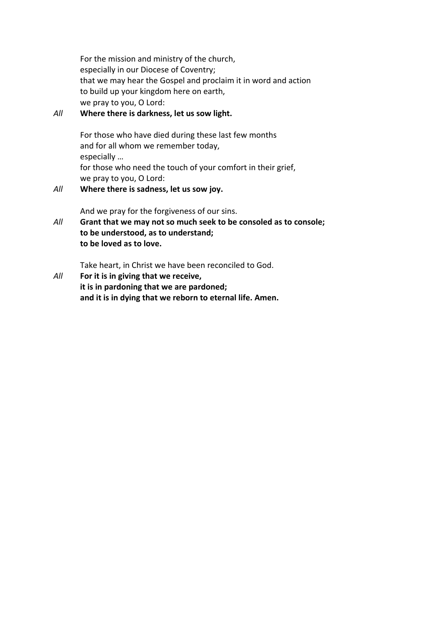For the mission and ministry of the church, especially in our Diocese of Coventry; that we may hear the Gospel and proclaim it in word and action to build up your kingdom here on earth, we pray to you, O Lord:

### *All* **Where there is darkness, let us sow light.**

For those who have died during these last few months and for all whom we remember today, especially … for those who need the touch of your comfort in their grief, we pray to you, O Lord:

### *All* **Where there is sadness, let us sow joy.**

And we pray for the forgiveness of our sins.

*All* **Grant that we may not so much seek to be consoled as to console; to be understood, as to understand; to be loved as to love.**

Take heart, in Christ we have been reconciled to God.

*All* **For it is in giving that we receive, it is in pardoning that we are pardoned; and it is in dying that we reborn to eternal life. Amen.**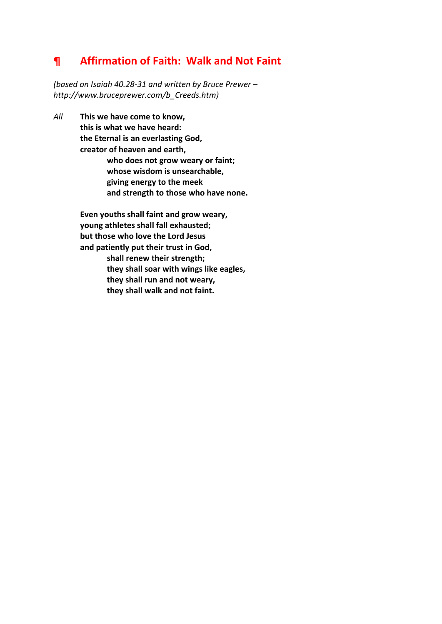# **¶ Affirmation of Faith: Walk and Not Faint**

*(based on Isaiah 40.28-31 and written by Bruce Prewer – http://www.bruceprewer.com/b\_Creeds.htm)*

*All* **This we have come to know, this is what we have heard: the Eternal is an everlasting God, creator of heaven and earth, who does not grow weary or faint; whose wisdom is unsearchable, giving energy to the meek and strength to those who have none.**

> **Even youths shall faint and grow weary, young athletes shall fall exhausted; but those who love the Lord Jesus and patiently put their trust in God, shall renew their strength; they shall soar with wings like eagles, they shall run and not weary, they shall walk and not faint.**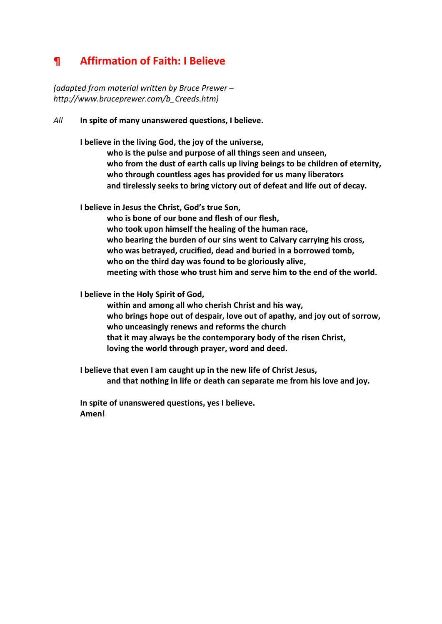# **¶ Affirmation of Faith: I Believe**

*(adapted from material written by Bruce Prewer – http://www.bruceprewer.com/b\_Creeds.htm)*

*All* **In spite of many unanswered questions, I believe.**

**I believe in the living God, the joy of the universe,**

**who is the pulse and purpose of all things seen and unseen, who from the dust of earth calls up living beings to be children of eternity, who through countless ages has provided for us many liberators and tirelessly seeks to bring victory out of defeat and life out of decay.**

**I believe in Jesus the Christ, God's true Son,**

**who is bone of our bone and flesh of our flesh, who took upon himself the healing of the human race, who bearing the burden of our sins went to Calvary carrying his cross, who was betrayed, crucified, dead and buried in a borrowed tomb, who on the third day was found to be gloriously alive, meeting with those who trust him and serve him to the end of the world.**

**I believe in the Holy Spirit of God,**

**within and among all who cherish Christ and his way, who brings hope out of despair, love out of apathy, and joy out of sorrow, who unceasingly renews and reforms the church that it may always be the contemporary body of the risen Christ, loving the world through prayer, word and deed.**

**I believe that even I am caught up in the new life of Christ Jesus, and that nothing in life or death can separate me from his love and joy.**

**In spite of unanswered questions, yes I believe. Amen!**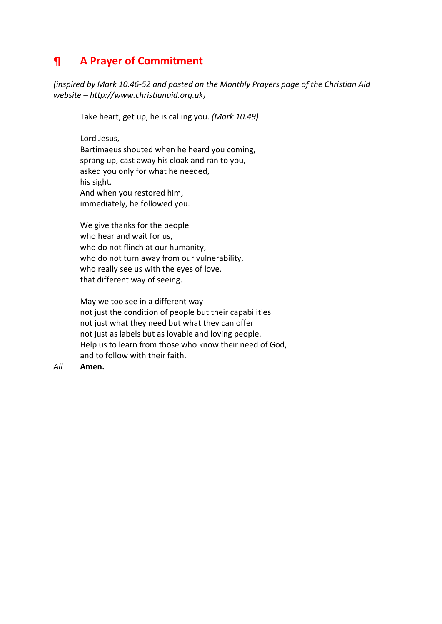# **¶ A Prayer of Commitment**

*(inspired by Mark 10.46-52 and posted on the Monthly Prayers page of the Christian Aid website – http://www.christianaid.org.uk)*

Take heart, get up, he is calling you. *(Mark 10.49)*

Lord Jesus, Bartimaeus shouted when he heard you coming, sprang up, cast away his cloak and ran to you, asked you only for what he needed, his sight. And when you restored him, immediately, he followed you.

We give thanks for the people who hear and wait for us, who do not flinch at our humanity, who do not turn away from our vulnerability, who really see us with the eyes of love, that different way of seeing.

May we too see in a different way not just the condition of people but their capabilities not just what they need but what they can offer not just as labels but as lovable and loving people. Help us to learn from those who know their need of God, and to follow with their faith.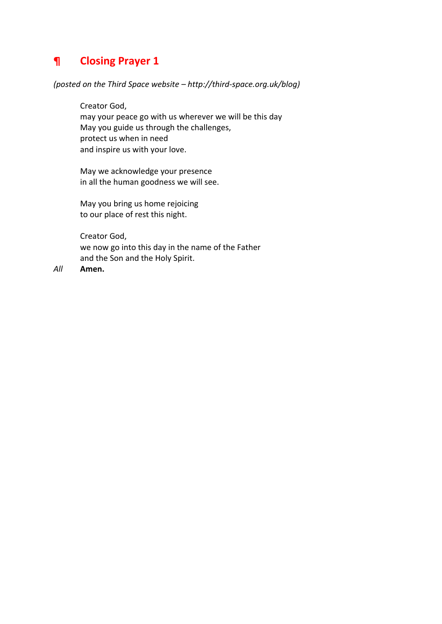# **¶ Closing Prayer 1**

#### *(posted on the Third Space website – http://third-space.org.uk/blog)*

Creator God, may your peace go with us wherever we will be this day May you guide us through the challenges, protect us when in need and inspire us with your love.

May we acknowledge your presence in all the human goodness we will see.

May you bring us home rejoicing to our place of rest this night.

Creator God, we now go into this day in the name of the Father and the Son and the Holy Spirit.